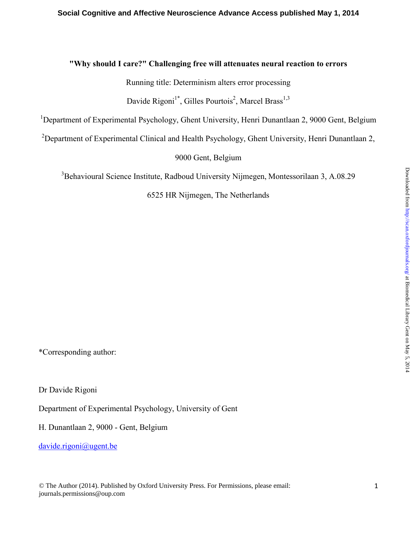# **"Why should I care?" Challenging free will attenuates neural reaction to errors**

Running title: Determinism alters error processing

Davide Rigoni<sup>1\*</sup>, Gilles Pourtois<sup>2</sup>, Marcel Brass<sup>1,3</sup>

<sup>1</sup>Department of Experimental Psychology, Ghent University, Henri Dunantlaan 2, 9000 Gent, Belgium

<sup>2</sup>Department of Experimental Clinical and Health Psychology, Ghent University, Henri Dunantlaan 2,

9000 Gent, Belgium

<sup>3</sup>Behavioural Science Institute, Radboud University Nijmegen, Montessorilaan 3, A.08.29

6525 HR Nijmegen, The Netherlands

\*Corresponding author:

Dr Davide Rigoni

Department of Experimental Psychology, University of Gent

H. Dunantlaan 2, 9000 - Gent, Belgium

davide.rigoni@ugent.be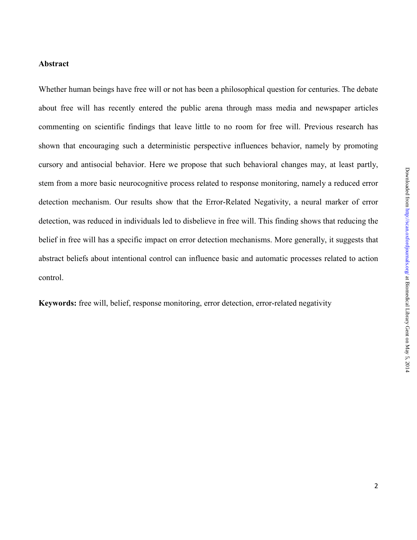# **Abstract**

Whether human beings have free will or not has been a philosophical question for centuries. The debate about free will has recently entered the public arena through mass media and newspaper articles commenting on scientific findings that leave little to no room for free will. Previous research has shown that encouraging such a deterministic perspective influences behavior, namely by promoting cursory and antisocial behavior. Here we propose that such behavioral changes may, at least partly, stem from a more basic neurocognitive process related to response monitoring, namely a reduced error detection mechanism. Our results show that the Error-Related Negativity, a neural marker of error detection, was reduced in individuals led to disbelieve in free will. This finding shows that reducing the belief in free will has a specific impact on error detection mechanisms. More generally, it suggests that abstract beliefs about intentional control can influence basic and automatic processes related to action control.

**Keywords:** free will, belief, response monitoring, error detection, error-related negativity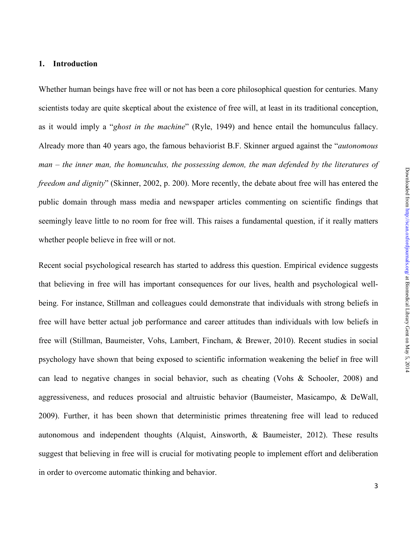# **1. Introduction**

Whether human beings have free will or not has been a core philosophical question for centuries. Many scientists today are quite skeptical about the existence of free will, at least in its traditional conception, as it would imply a "*ghost in the machine*" (Ryle, 1949) and hence entail the homunculus fallacy. Already more than 40 years ago, the famous behaviorist B.F. Skinner argued against the "*autonomous man – the inner man, the homunculus, the possessing demon, the man defended by the literatures of freedom and dignity*" (Skinner, 2002, p. 200). More recently, the debate about free will has entered the public domain through mass media and newspaper articles commenting on scientific findings that seemingly leave little to no room for free will. This raises a fundamental question, if it really matters whether people believe in free will or not.

Recent social psychological research has started to address this question. Empirical evidence suggests that believing in free will has important consequences for our lives, health and psychological wellbeing. For instance, Stillman and colleagues could demonstrate that individuals with strong beliefs in free will have better actual job performance and career attitudes than individuals with low beliefs in free will (Stillman, Baumeister, Vohs, Lambert, Fincham, & Brewer, 2010). Recent studies in social psychology have shown that being exposed to scientific information weakening the belief in free will can lead to negative changes in social behavior, such as cheating (Vohs & Schooler, 2008) and aggressiveness, and reduces prosocial and altruistic behavior (Baumeister, Masicampo, & DeWall, 2009). Further, it has been shown that deterministic primes threatening free will lead to reduced autonomous and independent thoughts (Alquist, Ainsworth, & Baumeister, 2012). These results suggest that believing in free will is crucial for motivating people to implement effort and deliberation in order to overcome automatic thinking and behavior.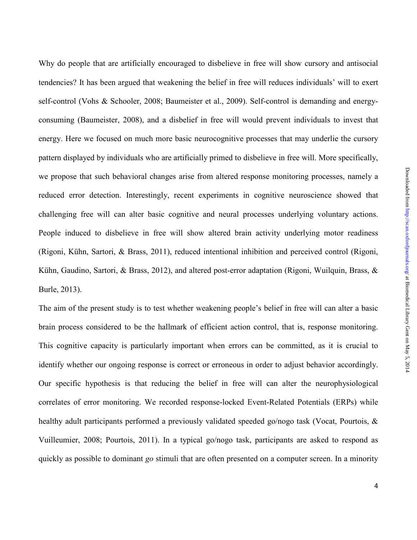Why do people that are artificially encouraged to disbelieve in free will show cursory and antisocial tendencies? It has been argued that weakening the belief in free will reduces individuals' will to exert self-control (Vohs & Schooler, 2008; Baumeister et al., 2009). Self-control is demanding and energyconsuming (Baumeister, 2008), and a disbelief in free will would prevent individuals to invest that energy. Here we focused on much more basic neurocognitive processes that may underlie the cursory pattern displayed by individuals who are artificially primed to disbelieve in free will. More specifically, we propose that such behavioral changes arise from altered response monitoring processes, namely a reduced error detection. Interestingly, recent experiments in cognitive neuroscience showed that challenging free will can alter basic cognitive and neural processes underlying voluntary actions. People induced to disbelieve in free will show altered brain activity underlying motor readiness (Rigoni, Kühn, Sartori, & Brass, 2011), reduced intentional inhibition and perceived control (Rigoni, Kühn, Gaudino, Sartori, & Brass, 2012), and altered post-error adaptation (Rigoni, Wuilquin, Brass, & Burle, 2013).

The aim of the present study is to test whether weakening people's belief in free will can alter a basic brain process considered to be the hallmark of efficient action control, that is, response monitoring. This cognitive capacity is particularly important when errors can be committed, as it is crucial to identify whether our ongoing response is correct or erroneous in order to adjust behavior accordingly. Our specific hypothesis is that reducing the belief in free will can alter the neurophysiological correlates of error monitoring. We recorded response-locked Event-Related Potentials (ERPs) while healthy adult participants performed a previously validated speeded go/nogo task (Vocat, Pourtois, & Vuilleumier, 2008; Pourtois, 2011). In a typical go/nogo task, participants are asked to respond as quickly as possible to dominant *go* stimuli that are often presented on a computer screen. In a minority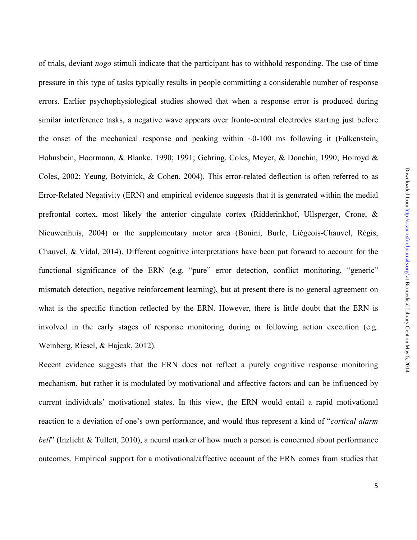of trials, deviant *nogo* stimuli indicate that the participant has to withhold responding. The use of time pressure in this type of tasks typically results in people committing a considerable number of response errors. Earlier psychophysiological studies showed that when a response error is produced during similar interference tasks, a negative wave appears over fronto-central electrodes starting just before the onset of the mechanical response and peaking within  $\sim 0$ -100 ms following it (Falkenstein, Hohnsbein, Hoormann, & Blanke, 1990; 1991; Gehring, Coles, Meyer, & Donchin, 1990; Holroyd & Coles, 2002; Yeung, Botvinick, & Cohen, 2004). This error-related deflection is often referred to as Error-Related Negativity (ERN) and empirical evidence suggests that it is generated within the medial prefrontal cortex, most likely the anterior cingulate cortex (Ridderinkhof, Ullsperger, Crone, & Nieuwenhuis, 2004) or the supplementary motor area (Bonini, Burle, Liégeois-Chauvel, Régis, Chauvel, & Vidal, 2014). Different cognitive interpretations have been put forward to account for the functional significance of the ERN (e.g. "pure" error detection, conflict monitoring, "generic" mismatch detection, negative reinforcement learning), but at present there is no general agreement on what is the specific function reflected by the ERN. However, there is little doubt that the ERN is involved in the early stages of response monitoring during or following action execution (e.g. Weinberg, Riesel, & Hajcak, 2012).

Recent evidence suggests that the ERN does not reflect a purely cognitive response monitoring mechanism, but rather it is modulated by motivational and affective factors and can be influenced by current individuals' motivational states. In this view, the ERN would entail a rapid motivational reaction to a deviation of one's own performance, and would thus represent a kind of "*cortical alarm bell*" (Inzlicht & Tullett, 2010), a neural marker of how much a person is concerned about performance outcomes. Empirical support for a motivational/affective account of the ERN comes from studies that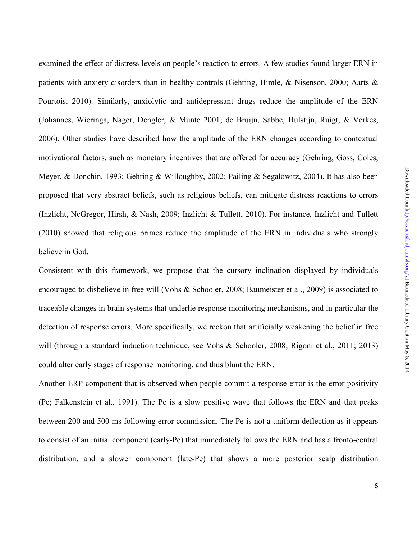examined the effect of distress levels on people's reaction to errors. A few studies found larger ERN in patients with anxiety disorders than in healthy controls (Gehring, Himle, & Nisenson, 2000; Aarts & Pourtois, 2010). Similarly, anxiolytic and antidepressant drugs reduce the amplitude of the ERN (Johannes, Wieringa, Nager, Dengler, & Munte 2001; de Bruijn, Sabbe, Hulstijn, Ruigt, & Verkes, 2006). Other studies have described how the amplitude of the ERN changes according to contextual motivational factors, such as monetary incentives that are offered for accuracy (Gehring, Goss, Coles, Meyer, & Donchin, 1993; Gehring & Willoughby, 2002; Pailing & Segalowitz, 2004). It has also been proposed that very abstract beliefs, such as religious beliefs, can mitigate distress reactions to errors (Inzlicht, NcGregor, Hirsh, & Nash, 2009; Inzlicht & Tullett, 2010). For instance, Inzlicht and Tullett (2010) showed that religious primes reduce the amplitude of the ERN in individuals who strongly believe in God.

Consistent with this framework, we propose that the cursory inclination displayed by individuals encouraged to disbelieve in free will (Vohs & Schooler, 2008; Baumeister et al., 2009) is associated to traceable changes in brain systems that underlie response monitoring mechanisms, and in particular the detection of response errors. More specifically, we reckon that artificially weakening the belief in free will (through a standard induction technique, see Vohs & Schooler, 2008; Rigoni et al., 2011; 2013) could alter early stages of response monitoring, and thus blunt the ERN.

Another ERP component that is observed when people commit a response error is the error positivity (Pe; Falkenstein et al., 1991). The Pe is a slow positive wave that follows the ERN and that peaks between 200 and 500 ms following error commission. The Pe is not a uniform deflection as it appears to consist of an initial component (early-Pe) that immediately follows the ERN and has a fronto-central distribution, and a slower component (late-Pe) that shows a more posterior scalp distribution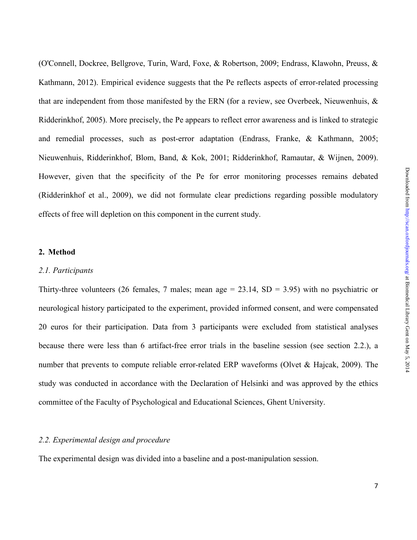(O'Connell, Dockree, Bellgrove, Turin, Ward, Foxe, & Robertson, 2009; Endrass, Klawohn, Preuss, & Kathmann, 2012). Empirical evidence suggests that the Pe reflects aspects of error-related processing that are independent from those manifested by the ERN (for a review, see Overbeek, Nieuwenhuis, & Ridderinkhof, 2005). More precisely, the Pe appears to reflect error awareness and is linked to strategic and remedial processes, such as post-error adaptation (Endrass, Franke, & Kathmann, 2005; Nieuwenhuis, Ridderinkhof, Blom, Band, & Kok, 2001; Ridderinkhof, Ramautar, & Wijnen, 2009). However, given that the specificity of the Pe for error monitoring processes remains debated (Ridderinkhof et al., 2009), we did not formulate clear predictions regarding possible modulatory effects of free will depletion on this component in the current study.

# **2. Method**

#### *2.1. Participants*

Thirty-three volunteers (26 females, 7 males; mean age  $= 23.14$ , SD  $= 3.95$ ) with no psychiatric or neurological history participated to the experiment, provided informed consent, and were compensated 20 euros for their participation. Data from 3 participants were excluded from statistical analyses because there were less than 6 artifact-free error trials in the baseline session (see section 2.2.), a number that prevents to compute reliable error-related ERP waveforms (Olvet & Hajcak, 2009). The study was conducted in accordance with the Declaration of Helsinki and was approved by the ethics committee of the Faculty of Psychological and Educational Sciences, Ghent University.

### *2.2. Experimental design and procedure*

The experimental design was divided into a baseline and a post-manipulation session.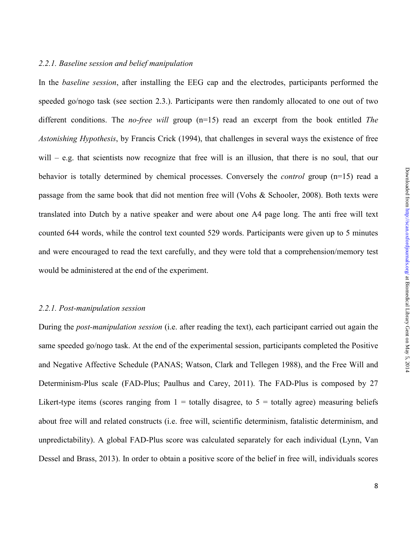In the *baseline session*, after installing the EEG cap and the electrodes, participants performed the speeded go/nogo task (see section 2.3.). Participants were then randomly allocated to one out of two different conditions. The *no-free will* group (n=15) read an excerpt from the book entitled *The Astonishing Hypothesis*, by Francis Crick (1994), that challenges in several ways the existence of free will – e.g. that scientists now recognize that free will is an illusion, that there is no soul, that our behavior is totally determined by chemical processes. Conversely the *control* group (n=15) read a passage from the same book that did not mention free will (Vohs & Schooler, 2008). Both texts were translated into Dutch by a native speaker and were about one A4 page long. The anti free will text counted 644 words, while the control text counted 529 words. Participants were given up to 5 minutes and were encouraged to read the text carefully, and they were told that a comprehension/memory test would be administered at the end of the experiment.

#### *2.2.1. Post-manipulation session*

During the *post-manipulation session* (i.e. after reading the text), each participant carried out again the same speeded go/nogo task. At the end of the experimental session, participants completed the Positive and Negative Affective Schedule (PANAS; Watson, Clark and Tellegen 1988), and the Free Will and Determinism-Plus scale (FAD-Plus; Paulhus and Carey, 2011). The FAD-Plus is composed by 27 Likert-type items (scores ranging from  $1 =$  totally disagree, to  $5 =$  totally agree) measuring beliefs about free will and related constructs (i.e. free will, scientific determinism, fatalistic determinism, and unpredictability). A global FAD-Plus score was calculated separately for each individual (Lynn, Van Dessel and Brass, 2013). In order to obtain a positive score of the belief in free will, individuals scores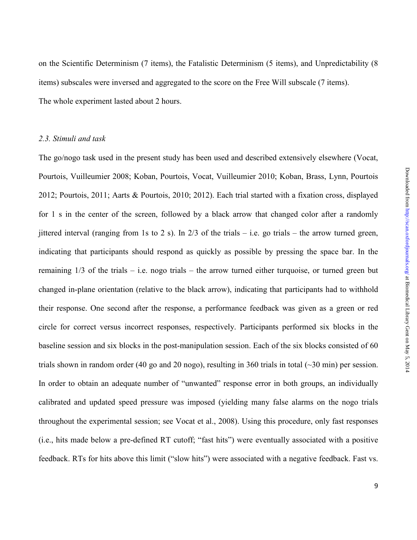on the Scientific Determinism (7 items), the Fatalistic Determinism (5 items), and Unpredictability (8 items) subscales were inversed and aggregated to the score on the Free Will subscale (7 items). The whole experiment lasted about 2 hours.

# *2.3. Stimuli and task*

The go/nogo task used in the present study has been used and described extensively elsewhere (Vocat, Pourtois, Vuilleumier 2008; Koban, Pourtois, Vocat, Vuilleumier 2010; Koban, Brass, Lynn, Pourtois 2012; Pourtois, 2011; Aarts & Pourtois, 2010; 2012). Each trial started with a fixation cross, displayed for 1 s in the center of the screen, followed by a black arrow that changed color after a randomly jittered interval (ranging from 1s to 2 s). In  $2/3$  of the trials – i.e. go trials – the arrow turned green, indicating that participants should respond as quickly as possible by pressing the space bar. In the remaining 1/3 of the trials – i.e. nogo trials – the arrow turned either turquoise, or turned green but changed in-plane orientation (relative to the black arrow), indicating that participants had to withhold their response. One second after the response, a performance feedback was given as a green or red circle for correct versus incorrect responses, respectively. Participants performed six blocks in the baseline session and six blocks in the post-manipulation session. Each of the six blocks consisted of 60 trials shown in random order (40 go and 20 nogo), resulting in 360 trials in total (~30 min) per session. In order to obtain an adequate number of "unwanted" response error in both groups, an individually calibrated and updated speed pressure was imposed (yielding many false alarms on the nogo trials throughout the experimental session; see Vocat et al., 2008). Using this procedure, only fast responses (i.e., hits made below a pre-defined RT cutoff; "fast hits") were eventually associated with a positive feedback. RTs for hits above this limit ("slow hits") were associated with a negative feedback. Fast vs.

9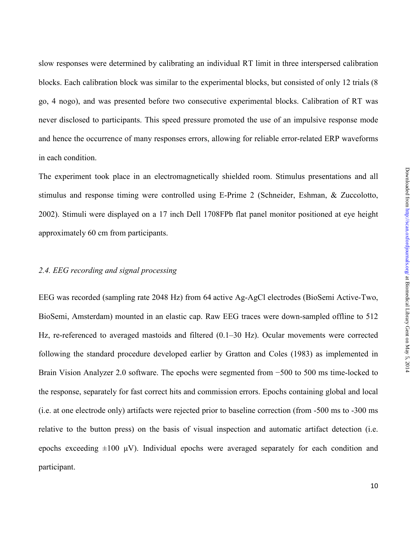slow responses were determined by calibrating an individual RT limit in three interspersed calibration blocks. Each calibration block was similar to the experimental blocks, but consisted of only 12 trials (8 go, 4 nogo), and was presented before two consecutive experimental blocks. Calibration of RT was never disclosed to participants. This speed pressure promoted the use of an impulsive response mode and hence the occurrence of many responses errors, allowing for reliable error-related ERP waveforms in each condition.

The experiment took place in an electromagnetically shielded room. Stimulus presentations and all stimulus and response timing were controlled using E-Prime 2 (Schneider, Eshman, & Zuccolotto, 2002). Stimuli were displayed on a 17 inch Dell 1708FPb flat panel monitor positioned at eye height approximately 60 cm from participants.

#### *2.4. EEG recording and signal processing*

EEG was recorded (sampling rate 2048 Hz) from 64 active Ag-AgCl electrodes (BioSemi Active-Two, BioSemi, Amsterdam) mounted in an elastic cap. Raw EEG traces were down-sampled offline to 512 Hz, re-referenced to averaged mastoids and filtered (0.1–30 Hz). Ocular movements were corrected following the standard procedure developed earlier by Gratton and Coles (1983) as implemented in Brain Vision Analyzer 2.0 software. The epochs were segmented from −500 to 500 ms time-locked to the response, separately for fast correct hits and commission errors. Epochs containing global and local (i.e. at one electrode only) artifacts were rejected prior to baseline correction (from -500 ms to -300 ms relative to the button press) on the basis of visual inspection and automatic artifact detection (i.e. epochs exceeding  $\pm 100 \mu V$ ). Individual epochs were averaged separately for each condition and participant.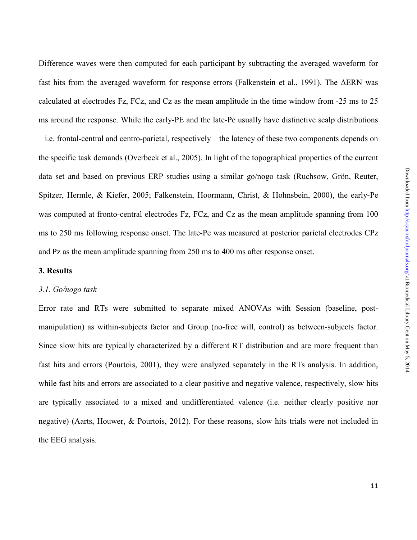Difference waves were then computed for each participant by subtracting the averaged waveform for fast hits from the averaged waveform for response errors (Falkenstein et al., 1991). The ∆ERN was calculated at electrodes Fz, FCz, and Cz as the mean amplitude in the time window from -25 ms to 25 ms around the response. While the early-PE and the late-Pe usually have distinctive scalp distributions – i.e. frontal-central and centro-parietal, respectively – the latency of these two components depends on the specific task demands (Overbeek et al., 2005). In light of the topographical properties of the current data set and based on previous ERP studies using a similar go/nogo task (Ruchsow, Grön, Reuter, Spitzer, Hermle, & Kiefer, 2005; Falkenstein, Hoormann, Christ, & Hohnsbein, 2000), the early-Pe was computed at fronto-central electrodes Fz, FCz, and Cz as the mean amplitude spanning from 100 ms to 250 ms following response onset. The late-Pe was measured at posterior parietal electrodes CPz and Pz as the mean amplitude spanning from 250 ms to 400 ms after response onset.

# **3. Results**

#### *3.1. Go/nogo task*

Error rate and RTs were submitted to separate mixed ANOVAs with Session (baseline, postmanipulation) as within-subjects factor and Group (no-free will, control) as between-subjects factor. Since slow hits are typically characterized by a different RT distribution and are more frequent than fast hits and errors (Pourtois, 2001), they were analyzed separately in the RTs analysis. In addition, while fast hits and errors are associated to a clear positive and negative valence, respectively, slow hits are typically associated to a mixed and undifferentiated valence (i.e. neither clearly positive nor negative) (Aarts, Houwer, & Pourtois, 2012). For these reasons, slow hits trials were not included in the EEG analysis.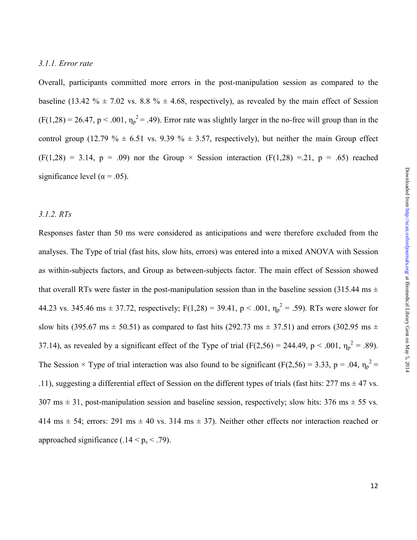#### *3.1.1. Error rate*

Overall, participants committed more errors in the post-manipulation session as compared to the baseline (13.42 %  $\pm$  7.02 vs. 8.8 %  $\pm$  4.68, respectively), as revealed by the main effect of Session  $(F(1,28) = 26.47, p < .001, \eta_p^2 = .49)$ . Error rate was slightly larger in the no-free will group than in the control group (12.79 %  $\pm$  6.51 vs. 9.39 %  $\pm$  3.57, respectively), but neither the main Group effect  $(F(1,28) = 3.14, p = .09)$  nor the Group  $\times$  Session interaction  $(F(1,28) = .21, p = .65)$  reached significance level ( $\alpha$  = .05).

# *3.1.2. RTs*

Responses faster than 50 ms were considered as anticipations and were therefore excluded from the analyses. The Type of trial (fast hits, slow hits, errors) was entered into a mixed ANOVA with Session as within-subjects factors, and Group as between-subjects factor. The main effect of Session showed that overall RTs were faster in the post-manipulation session than in the baseline session (315.44 ms  $\pm$ 44.23 vs. 345.46 ms  $\pm$  37.72, respectively; F(1,28) = 39.41, p < .001,  $\eta_p^2$  = .59). RTs were slower for slow hits (395.67 ms  $\pm$  50.51) as compared to fast hits (292.73 ms  $\pm$  37.51) and errors (302.95 ms  $\pm$ 37.14), as revealed by a significant effect of the Type of trial (F(2,56) = 244.49, p < .001,  $\eta_p^2$  = .89). The Session  $\times$  Type of trial interaction was also found to be significant (F(2,56) = 3.33, p = .04,  $\eta_p^2$  = .11), suggesting a differential effect of Session on the different types of trials (fast hits:  $277 \text{ ms} \pm 47 \text{ vs.}$ )  $307 \text{ ms} \pm 31$ , post-manipulation session and baseline session, respectively; slow hits:  $376 \text{ ms} \pm 55 \text{ vs.}$ 414 ms  $\pm$  54; errors: 291 ms  $\pm$  40 vs. 314 ms  $\pm$  37). Neither other effects nor interaction reached or approached significance  $(.14 < p_s < .79)$ .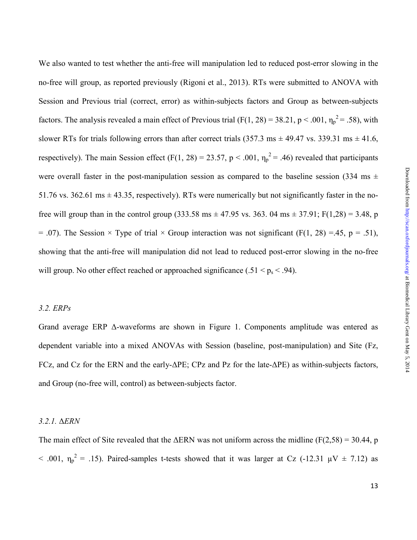We also wanted to test whether the anti-free will manipulation led to reduced post-error slowing in the no-free will group, as reported previously (Rigoni et al., 2013). RTs were submitted to ANOVA with Session and Previous trial (correct, error) as within-subjects factors and Group as between-subjects factors. The analysis revealed a main effect of Previous trial (F(1, 28) = 38.21, p < .001,  $\eta_p^2$  = .58), with slower RTs for trials following errors than after correct trials (357.3 ms  $\pm$  49.47 vs. 339.31 ms  $\pm$  41.6, respectively). The main Session effect (F(1, 28) = 23.57, p < .001,  $\eta_p^2$  = .46) revealed that participants were overall faster in the post-manipulation session as compared to the baseline session (334 ms  $\pm$ 51.76 vs. 362.61 ms  $\pm$  43.35, respectively). RTs were numerically but not significantly faster in the nofree will group than in the control group (333.58 ms  $\pm$  47.95 vs. 363. 04 ms  $\pm$  37.91; F(1,28) = 3.48, p  $= .07$ ). The Session  $\times$  Type of trial  $\times$  Group interaction was not significant (F(1, 28) =.45, p = .51), showing that the anti-free will manipulation did not lead to reduced post-error slowing in the no-free will group. No other effect reached or approached significance (.51  $\leq$  p<sub>s</sub>  $\leq$  .94).

### *3.2. ERPs*

Grand average ERP ∆-waveforms are shown in Figure 1. Components amplitude was entered as dependent variable into a mixed ANOVAs with Session (baseline, post-manipulation) and Site (Fz, FCz, and Cz for the ERN and the early-∆PE; CPz and Pz for the late-∆PE) as within-subjects factors, and Group (no-free will, control) as between-subjects factor.

### *3.2.1.* ∆*ERN*

The main effect of Site revealed that the  $\triangle$ ERN was not uniform across the midline (F(2,58) = 30.44, p  $<$  .001,  $\eta_p^2$  = .15). Paired-samples t-tests showed that it was larger at Cz (-12.31  $\mu$ V  $\pm$  7.12) as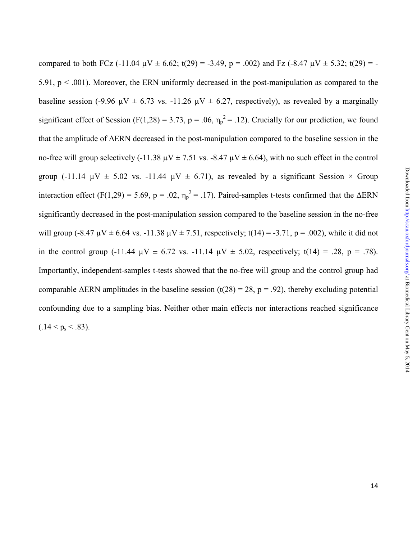compared to both FCz (-11.04  $\mu$ V  $\pm$  6.62; t(29) = -3.49, p = .002) and Fz (-8.47  $\mu$ V  $\pm$  5.32; t(29) = -5.91,  $p < .001$ ). Moreover, the ERN uniformly decreased in the post-manipulation as compared to the baseline session (-9.96  $\mu$ V  $\pm$  6.73 vs. -11.26  $\mu$ V  $\pm$  6.27, respectively), as revealed by a marginally significant effect of Session (F(1,28) = 3.73, p = .06,  $\eta_p^2$  = .12). Crucially for our prediction, we found that the amplitude of ∆ERN decreased in the post-manipulation compared to the baseline session in the no-free will group selectively (-11.38  $\mu$ V  $\pm$  7.51 vs. -8.47  $\mu$ V  $\pm$  6.64), with no such effect in the control group (-11.14  $\mu$ V  $\pm$  5.02 vs. -11.44  $\mu$ V  $\pm$  6.71), as revealed by a significant Session  $\times$  Group interaction effect (F(1,29) = 5.69, p = .02,  $\eta_p^2$  = .17). Paired-samples t-tests confirmed that the  $\Delta$ ERN significantly decreased in the post-manipulation session compared to the baseline session in the no-free will group (-8.47  $\mu$ V  $\pm$  6.64 vs. -11.38  $\mu$ V  $\pm$  7.51, respectively; t(14) = -3.71, p = .002), while it did not in the control group (-11.44  $\mu$ V  $\pm$  6.72 vs. -11.14  $\mu$ V  $\pm$  5.02, respectively; t(14) = .28, p = .78). Importantly, independent-samples t-tests showed that the no-free will group and the control group had comparable  $\triangle$ ERN amplitudes in the baseline session (t(28) = 28, p = .92), thereby excluding potential confounding due to a sampling bias. Neither other main effects nor interactions reached significance  $(.14 < p_s < .83)$ .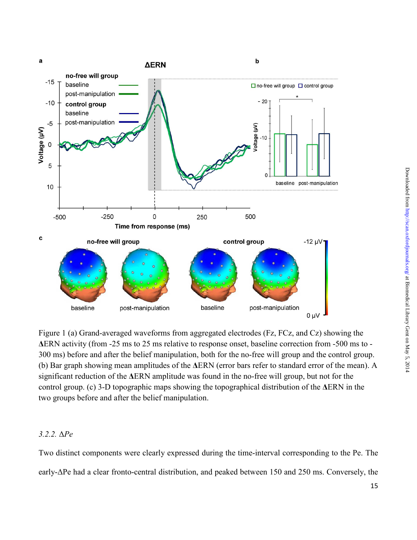

Figure 1 (a) Grand-averaged waveforms from aggregated electrodes (Fz, FCz, and Cz) showing the **∆**ERN activity (from -25 ms to 25 ms relative to response onset, baseline correction from -500 ms to - 300 ms) before and after the belief manipulation, both for the no-free will group and the control group. (b) Bar graph showing mean amplitudes of the **∆**ERN (error bars refer to standard error of the mean). A significant reduction of the **∆**ERN amplitude was found in the no-free will group, but not for the control group. (c) 3-D topographic maps showing the topographical distribution of the **∆**ERN in the two groups before and after the belief manipulation.

# *3.2.2.* ∆*Pe*

Two distinct components were clearly expressed during the time-interval corresponding to the Pe. The early-∆Pe had a clear fronto-central distribution, and peaked between 150 and 250 ms. Conversely, the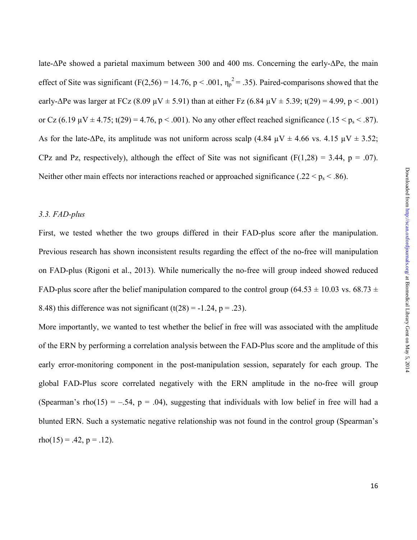late-∆Pe showed a parietal maximum between 300 and 400 ms. Concerning the early-∆Pe, the main effect of Site was significant (F(2,56) = 14.76, p < .001,  $\eta_p^2$  = .35). Paired-comparisons showed that the early-∆Pe was larger at FCz (8.09  $\mu$ V ± 5.91) than at either Fz (6.84  $\mu$ V ± 5.39; t(29) = 4.99, p < .001) or Cz (6.19  $\mu$ V  $\pm$  4.75; t(29) = 4.76, p < .001). No any other effect reached significance (.15 < p<sub>s</sub> < .87). As for the late-∆Pe, its amplitude was not uniform across scalp (4.84  $\mu$ V  $\pm$  4.66 vs. 4.15  $\mu$ V  $\pm$  3.52; CPz and Pz, respectively), although the effect of Site was not significant  $(F(1,28) = 3.44, p = .07)$ . Neither other main effects nor interactions reached or approached significance (.22  $\lt p_s \lt .86$ ).

#### *3.3. FAD-plus*

First, we tested whether the two groups differed in their FAD-plus score after the manipulation. Previous research has shown inconsistent results regarding the effect of the no-free will manipulation on FAD-plus (Rigoni et al., 2013). While numerically the no-free will group indeed showed reduced FAD-plus score after the belief manipulation compared to the control group (64.53  $\pm$  10.03 vs. 68.73  $\pm$ 8.48) this difference was not significant  $(t(28) = -1.24, p = .23)$ .

More importantly, we wanted to test whether the belief in free will was associated with the amplitude of the ERN by performing a correlation analysis between the FAD-Plus score and the amplitude of this early error-monitoring component in the post-manipulation session, separately for each group. The global FAD-Plus score correlated negatively with the ERN amplitude in the no-free will group (Spearman's rho(15) = –.54, p = .04), suggesting that individuals with low belief in free will had a blunted ERN. Such a systematic negative relationship was not found in the control group (Spearman's  $rho(15) = .42, p = .12$ .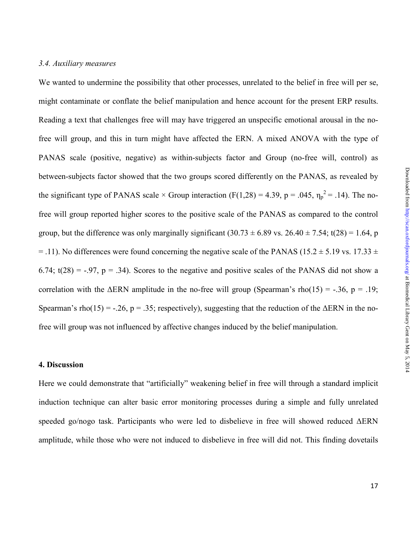### *3.4. Auxiliary measures*

We wanted to undermine the possibility that other processes, unrelated to the belief in free will per se, might contaminate or conflate the belief manipulation and hence account for the present ERP results. Reading a text that challenges free will may have triggered an unspecific emotional arousal in the nofree will group, and this in turn might have affected the ERN. A mixed ANOVA with the type of PANAS scale (positive, negative) as within-subjects factor and Group (no-free will, control) as between-subjects factor showed that the two groups scored differently on the PANAS, as revealed by the significant type of PANAS scale  $\times$  Group interaction (F(1,28) = 4.39, p = .045,  $\eta_p^2$  = .14). The nofree will group reported higher scores to the positive scale of the PANAS as compared to the control group, but the difference was only marginally significant  $(30.73 \pm 6.89 \text{ vs. } 26.40 \pm 7.54; t(28) = 1.64, p$  $=$  .11). No differences were found concerning the negative scale of the PANAS (15.2  $\pm$  5.19 vs. 17.33  $\pm$ ) 6.74;  $t(28) = -0.97$ ,  $p = 0.34$ ). Scores to the negative and positive scales of the PANAS did not show a correlation with the  $\triangle$ ERN amplitude in the no-free will group (Spearman's rho(15) = -.36, p = .19; Spearman's rho(15) = -.26, p = .35; respectively), suggesting that the reduction of the  $\triangle$ ERN in the nofree will group was not influenced by affective changes induced by the belief manipulation.

### **4. Discussion**

Here we could demonstrate that "artificially" weakening belief in free will through a standard implicit induction technique can alter basic error monitoring processes during a simple and fully unrelated speeded go/nogo task. Participants who were led to disbelieve in free will showed reduced ∆ERN amplitude, while those who were not induced to disbelieve in free will did not. This finding dovetails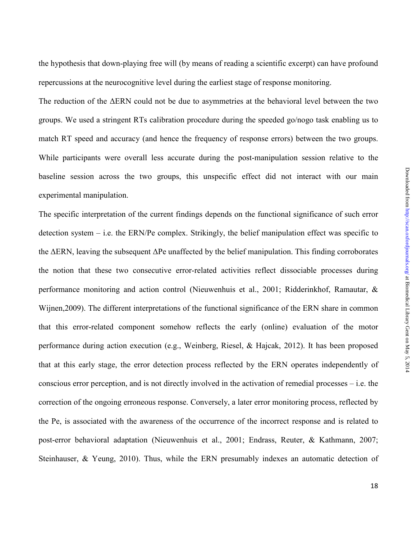the hypothesis that down-playing free will (by means of reading a scientific excerpt) can have profound repercussions at the neurocognitive level during the earliest stage of response monitoring.

The reduction of the ∆ERN could not be due to asymmetries at the behavioral level between the two groups. We used a stringent RTs calibration procedure during the speeded go/nogo task enabling us to match RT speed and accuracy (and hence the frequency of response errors) between the two groups. While participants were overall less accurate during the post-manipulation session relative to the baseline session across the two groups, this unspecific effect did not interact with our main experimental manipulation.

The specific interpretation of the current findings depends on the functional significance of such error detection system – i.e. the ERN/Pe complex. Strikingly, the belief manipulation effect was specific to the ∆ERN, leaving the subsequent ∆Pe unaffected by the belief manipulation. This finding corroborates the notion that these two consecutive error-related activities reflect dissociable processes during performance monitoring and action control (Nieuwenhuis et al., 2001; Ridderinkhof, Ramautar, & Wijnen,2009). The different interpretations of the functional significance of the ERN share in common that this error-related component somehow reflects the early (online) evaluation of the motor performance during action execution (e.g., Weinberg, Riesel, & Hajcak, 2012). It has been proposed that at this early stage, the error detection process reflected by the ERN operates independently of conscious error perception, and is not directly involved in the activation of remedial processes – i.e. the correction of the ongoing erroneous response. Conversely, a later error monitoring process, reflected by the Pe, is associated with the awareness of the occurrence of the incorrect response and is related to post-error behavioral adaptation (Nieuwenhuis et al., 2001; Endrass, Reuter, & Kathmann, 2007; Steinhauser, & Yeung, 2010). Thus, while the ERN presumably indexes an automatic detection of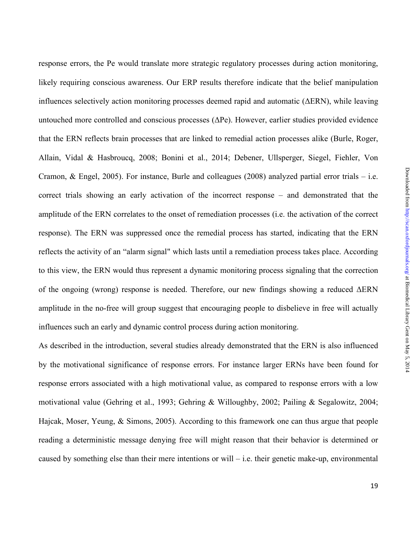response errors, the Pe would translate more strategic regulatory processes during action monitoring, likely requiring conscious awareness. Our ERP results therefore indicate that the belief manipulation influences selectively action monitoring processes deemed rapid and automatic (∆ERN), while leaving untouched more controlled and conscious processes (∆Pe). However, earlier studies provided evidence that the ERN reflects brain processes that are linked to remedial action processes alike (Burle, Roger, Allain, Vidal & Hasbroucq, 2008; Bonini et al., 2014; Debener, Ullsperger, Siegel, Fiehler, Von Cramon, & Engel, 2005). For instance, Burle and colleagues (2008) analyzed partial error trials – i.e. correct trials showing an early activation of the incorrect response – and demonstrated that the amplitude of the ERN correlates to the onset of remediation processes (i.e. the activation of the correct response). The ERN was suppressed once the remedial process has started, indicating that the ERN reflects the activity of an "alarm signal" which lasts until a remediation process takes place. According to this view, the ERN would thus represent a dynamic monitoring process signaling that the correction of the ongoing (wrong) response is needed. Therefore, our new findings showing a reduced ∆ERN amplitude in the no-free will group suggest that encouraging people to disbelieve in free will actually influences such an early and dynamic control process during action monitoring.

As described in the introduction, several studies already demonstrated that the ERN is also influenced by the motivational significance of response errors. For instance larger ERNs have been found for response errors associated with a high motivational value, as compared to response errors with a low motivational value (Gehring et al., 1993; Gehring & Willoughby, 2002; Pailing & Segalowitz, 2004; Hajcak, Moser, Yeung, & Simons, 2005). According to this framework one can thus argue that people reading a deterministic message denying free will might reason that their behavior is determined or caused by something else than their mere intentions or will – i.e. their genetic make-up, environmental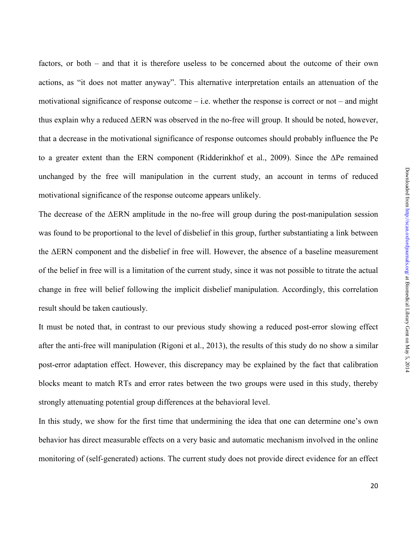factors, or both – and that it is therefore useless to be concerned about the outcome of their own actions, as "it does not matter anyway". This alternative interpretation entails an attenuation of the motivational significance of response outcome – i.e. whether the response is correct or not – and might thus explain why a reduced ∆ERN was observed in the no-free will group. It should be noted, however, that a decrease in the motivational significance of response outcomes should probably influence the Pe to a greater extent than the ERN component (Ridderinkhof et al., 2009). Since the ∆Pe remained unchanged by the free will manipulation in the current study, an account in terms of reduced motivational significance of the response outcome appears unlikely.

The decrease of the ∆ERN amplitude in the no-free will group during the post-manipulation session was found to be proportional to the level of disbelief in this group, further substantiating a link between the ∆ERN component and the disbelief in free will. However, the absence of a baseline measurement of the belief in free will is a limitation of the current study, since it was not possible to titrate the actual change in free will belief following the implicit disbelief manipulation. Accordingly, this correlation result should be taken cautiously.

It must be noted that, in contrast to our previous study showing a reduced post-error slowing effect after the anti-free will manipulation (Rigoni et al., 2013), the results of this study do no show a similar post-error adaptation effect. However, this discrepancy may be explained by the fact that calibration blocks meant to match RTs and error rates between the two groups were used in this study, thereby strongly attenuating potential group differences at the behavioral level.

In this study, we show for the first time that undermining the idea that one can determine one's own behavior has direct measurable effects on a very basic and automatic mechanism involved in the online monitoring of (self-generated) actions. The current study does not provide direct evidence for an effect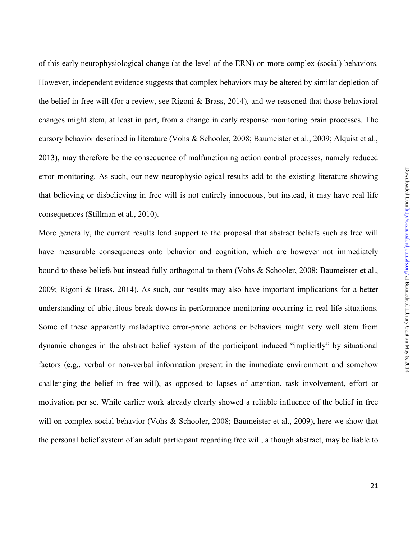of this early neurophysiological change (at the level of the ERN) on more complex (social) behaviors. However, independent evidence suggests that complex behaviors may be altered by similar depletion of the belief in free will (for a review, see Rigoni & Brass, 2014), and we reasoned that those behavioral changes might stem, at least in part, from a change in early response monitoring brain processes. The cursory behavior described in literature (Vohs & Schooler, 2008; Baumeister et al., 2009; Alquist et al., 2013), may therefore be the consequence of malfunctioning action control processes, namely reduced error monitoring. As such, our new neurophysiological results add to the existing literature showing that believing or disbelieving in free will is not entirely innocuous, but instead, it may have real life consequences (Stillman et al., 2010).

More generally, the current results lend support to the proposal that abstract beliefs such as free will have measurable consequences onto behavior and cognition, which are however not immediately bound to these beliefs but instead fully orthogonal to them (Vohs & Schooler, 2008; Baumeister et al., 2009; Rigoni & Brass, 2014). As such, our results may also have important implications for a better understanding of ubiquitous break-downs in performance monitoring occurring in real-life situations. Some of these apparently maladaptive error-prone actions or behaviors might very well stem from dynamic changes in the abstract belief system of the participant induced "implicitly" by situational factors (e.g., verbal or non-verbal information present in the immediate environment and somehow challenging the belief in free will), as opposed to lapses of attention, task involvement, effort or motivation per se. While earlier work already clearly showed a reliable influence of the belief in free will on complex social behavior (Vohs & Schooler, 2008; Baumeister et al., 2009), here we show that the personal belief system of an adult participant regarding free will, although abstract, may be liable to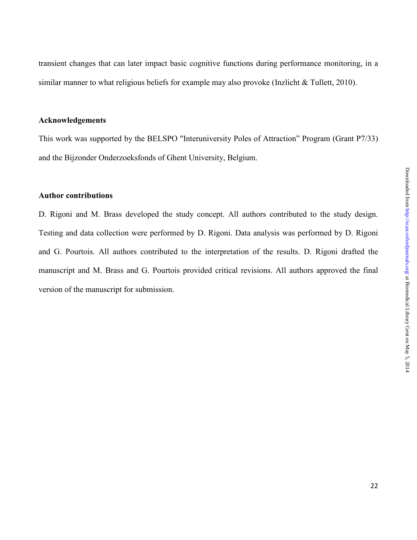transient changes that can later impact basic cognitive functions during performance monitoring, in a similar manner to what religious beliefs for example may also provoke (Inzlicht & Tullett, 2010).

# **Acknowledgements**

This work was supported by the BELSPO "Interuniversity Poles of Attraction" Program (Grant P7/33) and the Bijzonder Onderzoeksfonds of Ghent University, Belgium.

# **Author contributions**

D. Rigoni and M. Brass developed the study concept. All authors contributed to the study design. Testing and data collection were performed by D. Rigoni. Data analysis was performed by D. Rigoni and G. Pourtois. All authors contributed to the interpretation of the results. D. Rigoni drafted the manuscript and M. Brass and G. Pourtois provided critical revisions. All authors approved the final version of the manuscript for submission.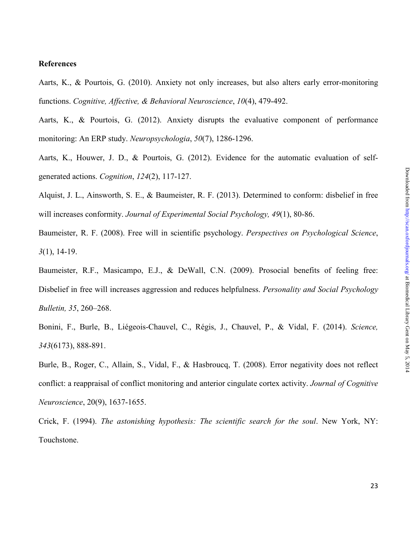#### **References**

Aarts, K., & Pourtois, G. (2010). Anxiety not only increases, but also alters early error-monitoring functions. *Cognitive, Affective, & Behavioral Neuroscience*, *10*(4), 479-492.

Aarts, K., & Pourtois, G. (2012). Anxiety disrupts the evaluative component of performance monitoring: An ERP study. *Neuropsychologia*, *50*(7), 1286-1296.

Aarts, K., Houwer, J. D., & Pourtois, G. (2012). Evidence for the automatic evaluation of selfgenerated actions. *Cognition*, *124*(2), 117-127.

Alquist, J. L., Ainsworth, S. E., & Baumeister, R. F. (2013). Determined to conform: disbelief in free will increases conformity. *Journal of Experimental Social Psychology, 49*(1), 80-86.

Baumeister, R. F. (2008). Free will in scientific psychology. *Perspectives on Psychological Science*, *3*(1), 14-19.

Baumeister, R.F., Masicampo, E.J., & DeWall, C.N. (2009). Prosocial benefits of feeling free: Disbelief in free will increases aggression and reduces helpfulness. *Personality and Social Psychology Bulletin, 35*, 260–268.

Bonini, F., Burle, B., Liégeois-Chauvel, C., Régis, J., Chauvel, P., & Vidal, F. (2014). *Science, 343*(6173), 888-891.

Burle, B., Roger, C., Allain, S., Vidal, F., & Hasbroucq, T. (2008). Error negativity does not reflect conflict: a reappraisal of conflict monitoring and anterior cingulate cortex activity. *Journal of Cognitive Neuroscience*, 20(9), 1637-1655.

Crick, F. (1994). *The astonishing hypothesis: The scientific search for the soul*. New York, NY: Touchstone.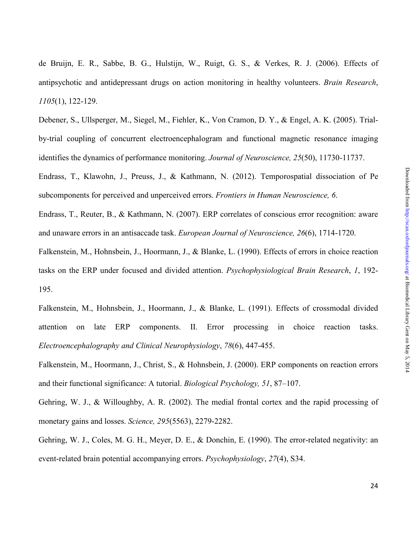de Bruijn, E. R., Sabbe, B. G., Hulstijn, W., Ruigt, G. S., & Verkes, R. J. (2006). Effects of antipsychotic and antidepressant drugs on action monitoring in healthy volunteers. *Brain Research*, *1105*(1), 122-129.

Debener, S., Ullsperger, M., Siegel, M., Fiehler, K., Von Cramon, D. Y., & Engel, A. K. (2005). Trialby-trial coupling of concurrent electroencephalogram and functional magnetic resonance imaging identifies the dynamics of performance monitoring. *Journal of Neuroscience, 25*(50), 11730-11737.

Endrass, T., Klawohn, J., Preuss, J., & Kathmann, N. (2012). Temporospatial dissociation of Pe subcomponents for perceived and unperceived errors. *Frontiers in Human Neuroscience, 6*.

Endrass, T., Reuter, B., & Kathmann, N. (2007). ERP correlates of conscious error recognition: aware and unaware errors in an antisaccade task. *European Journal of Neuroscience, 26*(6), 1714-1720.

Falkenstein, M., Hohnsbein, J., Hoormann, J., & Blanke, L. (1990). Effects of errors in choice reaction tasks on the ERP under focused and divided attention. *Psychophysiological Brain Research*, *1*, 192- 195.

Falkenstein, M., Hohnsbein, J., Hoormann, J., & Blanke, L. (1991). Effects of crossmodal divided attention on late ERP components. II. Error processing in choice reaction tasks. *Electroencephalography and Clinical Neurophysiology*, *78*(6), 447-455.

Falkenstein, M., Hoormann, J., Christ, S., & Hohnsbein, J. (2000). ERP components on reaction errors and their functional significance: A tutorial. *Biological Psychology, 51*, 87–107.

Gehring, W. J., & Willoughby, A. R. (2002). The medial frontal cortex and the rapid processing of monetary gains and losses. *Science, 295*(5563), 2279-2282.

Gehring, W. J., Coles, M. G. H., Meyer, D. E., & Donchin, E. (1990). The error-related negativity: an event-related brain potential accompanying errors. *Psychophysiology*, *27*(4), S34.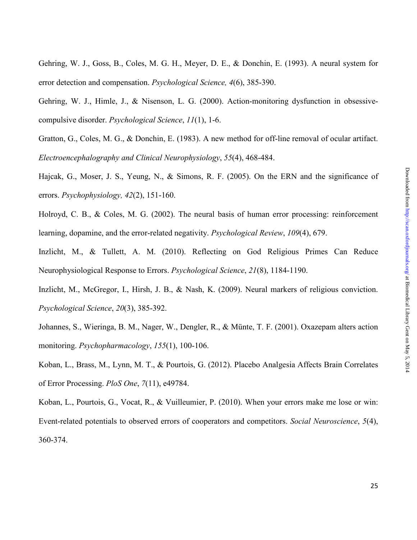- Gehring, W. J., Goss, B., Coles, M. G. H., Meyer, D. E., & Donchin, E. (1993). A neural system for error detection and compensation. *Psychological Science, 4*(6), 385-390.
- Gehring, W. J., Himle, J., & Nisenson, L. G. (2000). Action-monitoring dysfunction in obsessivecompulsive disorder. *Psychological Science*, *11*(1), 1-6.
- Gratton, G., Coles, M. G., & Donchin, E. (1983). A new method for off-line removal of ocular artifact. *Electroencephalography and Clinical Neurophysiology*, *55*(4), 468-484.
- Hajcak, G., Moser, J. S., Yeung, N., & Simons, R. F. (2005). On the ERN and the significance of errors. *Psychophysiology, 42*(2), 151-160.
- Holroyd, C. B., & Coles, M. G. (2002). The neural basis of human error processing: reinforcement learning, dopamine, and the error-related negativity. *Psychological Review*, *109*(4), 679.
- Inzlicht, M., & Tullett, A. M. (2010). Reflecting on God Religious Primes Can Reduce Neurophysiological Response to Errors. *Psychological Science*, *21*(8), 1184-1190.
- Inzlicht, M., McGregor, I., Hirsh, J. B., & Nash, K. (2009). Neural markers of religious conviction. *Psychological Science*, *20*(3), 385-392.
- Johannes, S., Wieringa, B. M., Nager, W., Dengler, R., & Münte, T. F. (2001). Oxazepam alters action monitoring. *Psychopharmacology*, *155*(1), 100-106.
- Koban, L., Brass, M., Lynn, M. T., & Pourtois, G. (2012). Placebo Analgesia Affects Brain Correlates of Error Processing. *PloS One*, *7*(11), e49784.
- Koban, L., Pourtois, G., Vocat, R., & Vuilleumier, P. (2010). When your errors make me lose or win: Event-related potentials to observed errors of cooperators and competitors. *Social Neuroscience*, *5*(4), 360-374.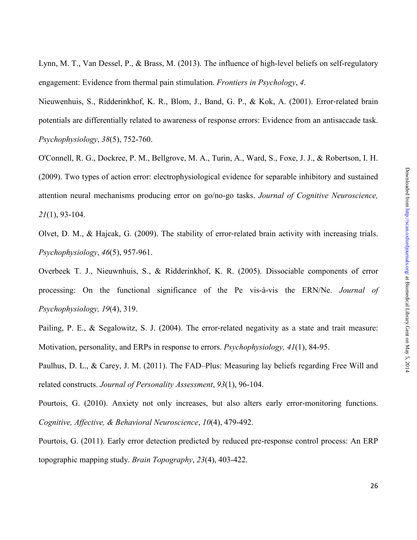Lynn, M. T., Van Dessel, P., & Brass, M. (2013). The influence of high-level beliefs on self-regulatory engagement: Evidence from thermal pain stimulation. *Frontiers in Psychology*, *4*.

Nieuwenhuis, S., Ridderinkhof, K. R., Blom, J., Band, G. P., & Kok, A. (2001). Error‐related brain potentials are differentially related to awareness of response errors: Evidence from an antisaccade task. *Psychophysiology*, *38*(5), 752-760.

O'Connell, R. G., Dockree, P. M., Bellgrove, M. A., Turin, A., Ward, S., Foxe, J. J., & Robertson, I. H. (2009). Two types of action error: electrophysiological evidence for separable inhibitory and sustained attention neural mechanisms producing error on go/no-go tasks. *Journal of Cognitive Neuroscience, 21*(1), 93-104.

Olvet, D. M., & Hajcak, G. (2009). The stability of error-related brain activity with increasing trials. *Psychophysiology*, *46*(5), 957-961.

Overbeek T. J., Nieuwnhuis, S., & Ridderinkhof, K. R. (2005). Dissociable components of error processing: On the functional significance of the Pe vis-à-vis the ERN/Ne. *Journal of Psychophysiology, 19*(4), 319.

Pailing, P. E., & Segalowitz, S. J. (2004). The error-related negativity as a state and trait measure: Motivation, personality, and ERPs in response to errors. *Psychophysiology, 41*(1), 84-95.

Paulhus, D. L., & Carey, J. M. (2011). The FAD–Plus: Measuring lay beliefs regarding Free Will and related constructs. *Journal of Personality Assessment*, *93*(1), 96-104.

Pourtois, G. (2010). Anxiety not only increases, but also alters early error-monitoring functions. *Cognitive, Affective, & Behavioral Neuroscience*, *10*(4), 479-492.

Pourtois, G. (2011). Early error detection predicted by reduced pre-response control process: An ERP topographic mapping study. *Brain Topography*, *23*(4), 403-422.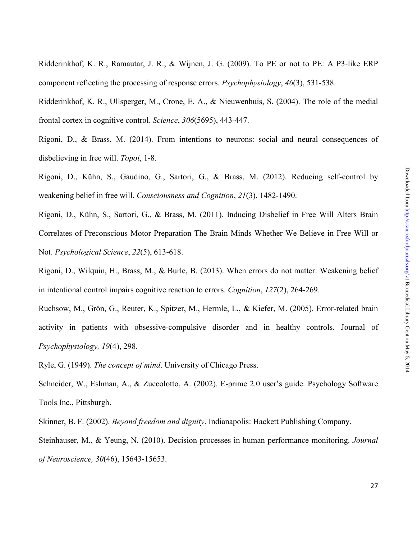Ridderinkhof, K. R., Ramautar, J. R., & Wijnen, J. G. (2009). To PE or not to PE: A P3‐like ERP component reflecting the processing of response errors. *Psychophysiology*, *46*(3), 531-538.

Ridderinkhof, K. R., Ullsperger, M., Crone, E. A., & Nieuwenhuis, S. (2004). The role of the medial frontal cortex in cognitive control. *Science*, *306*(5695), 443-447.

Rigoni, D., & Brass, M. (2014). From intentions to neurons: social and neural consequences of disbelieving in free will. *Topoi*, 1-8.

Rigoni, D., Kühn, S., Gaudino, G., Sartori, G., & Brass, M. (2012). Reducing self-control by weakening belief in free will. *Consciousness and Cognition*, *21*(3), 1482-1490.

Rigoni, D., Kühn, S., Sartori, G., & Brass, M. (2011). Inducing Disbelief in Free Will Alters Brain Correlates of Preconscious Motor Preparation The Brain Minds Whether We Believe in Free Will or Not. *Psychological Science*, *22*(5), 613-618.

Rigoni, D., Wilquin, H., Brass, M., & Burle, B. (2013). When errors do not matter: Weakening belief in intentional control impairs cognitive reaction to errors. *Cognition*, *127*(2), 264-269.

Ruchsow, M., Grön, G., Reuter, K., Spitzer, M., Hermle, L., & Kiefer, M. (2005). Error-related brain activity in patients with obsessive-compulsive disorder and in healthy controls. Journal of *Psychophysiology, 19*(4), 298.

Ryle, G. (1949). *The concept of mind*. University of Chicago Press.

Schneider, W., Eshman, A., & Zuccolotto, A. (2002). E-prime 2.0 user's guide. Psychology Software Tools Inc., Pittsburgh.

Skinner, B. F. (2002). *Beyond freedom and dignity*. Indianapolis: Hackett Publishing Company.

Steinhauser, M., & Yeung, N. (2010). Decision processes in human performance monitoring. *Journal of Neuroscience, 30*(46), 15643-15653.